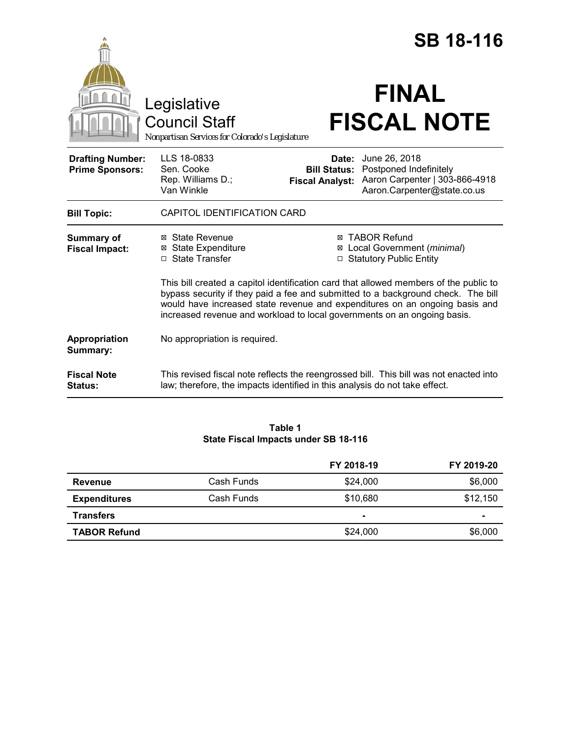|                                                   |                                                                                                                                                                                                                                                                                                                                      |                                                        | <b>SB 18-116</b>                                                                                         |
|---------------------------------------------------|--------------------------------------------------------------------------------------------------------------------------------------------------------------------------------------------------------------------------------------------------------------------------------------------------------------------------------------|--------------------------------------------------------|----------------------------------------------------------------------------------------------------------|
|                                                   | Legislative<br><b>Council Staff</b><br>Nonpartisan Services for Colorado's Legislature                                                                                                                                                                                                                                               |                                                        | <b>FINAL</b><br><b>FISCAL NOTE</b>                                                                       |
| <b>Drafting Number:</b><br><b>Prime Sponsors:</b> | LLS 18-0833<br>Sen. Cooke<br>Rep. Williams D.;<br>Van Winkle                                                                                                                                                                                                                                                                         | Date:<br><b>Bill Status:</b><br><b>Fiscal Analyst:</b> | June 26, 2018<br>Postponed Indefinitely<br>Aaron Carpenter   303-866-4918<br>Aaron.Carpenter@state.co.us |
| <b>Bill Topic:</b>                                | CAPITOL IDENTIFICATION CARD                                                                                                                                                                                                                                                                                                          |                                                        |                                                                                                          |
| <b>Summary of</b><br><b>Fiscal Impact:</b>        | <b>State Revenue</b><br>⊠<br><b>State Expenditure</b><br>⊠<br>□ State Transfer                                                                                                                                                                                                                                                       | ⊠<br>$\Box$                                            | ⊠ TABOR Refund<br>Local Government (minimal)<br><b>Statutory Public Entity</b>                           |
|                                                   | This bill created a capitol identification card that allowed members of the public to<br>bypass security if they paid a fee and submitted to a background check. The bill<br>would have increased state revenue and expenditures on an ongoing basis and<br>increased revenue and workload to local governments on an ongoing basis. |                                                        |                                                                                                          |
| Appropriation<br>Summary:                         | No appropriation is required.                                                                                                                                                                                                                                                                                                        |                                                        |                                                                                                          |
| <b>Fiscal Note</b><br><b>Status:</b>              | law; therefore, the impacts identified in this analysis do not take effect.                                                                                                                                                                                                                                                          |                                                        | This revised fiscal note reflects the reengrossed bill. This bill was not enacted into                   |

# **Table 1 State Fiscal Impacts under SB 18-116**

|                     |            | FY 2018-19 | FY 2019-20     |
|---------------------|------------|------------|----------------|
| Revenue             | Cash Funds | \$24,000   | \$6,000        |
| <b>Expenditures</b> | Cash Funds | \$10,680   | \$12,150       |
| <b>Transfers</b>    |            |            | $\blacksquare$ |
| <b>TABOR Refund</b> |            | \$24,000   | \$6,000        |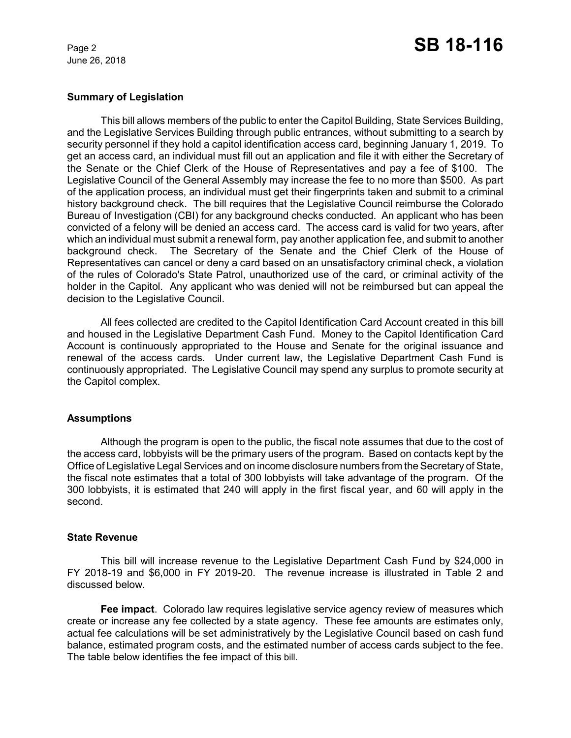June 26, 2018

# **Summary of Legislation**

This bill allows members of the public to enter the Capitol Building, State Services Building, and the Legislative Services Building through public entrances, without submitting to a search by security personnel if they hold a capitol identification access card, beginning January 1, 2019. To get an access card, an individual must fill out an application and file it with either the Secretary of the Senate or the Chief Clerk of the House of Representatives and pay a fee of \$100. The Legislative Council of the General Assembly may increase the fee to no more than \$500. As part of the application process, an individual must get their fingerprints taken and submit to a criminal history background check. The bill requires that the Legislative Council reimburse the Colorado Bureau of Investigation (CBI) for any background checks conducted. An applicant who has been convicted of a felony will be denied an access card. The access card is valid for two years, after which an individual must submit a renewal form, pay another application fee, and submit to another background check. The Secretary of the Senate and the Chief Clerk of the House of Representatives can cancel or deny a card based on an unsatisfactory criminal check, a violation of the rules of Colorado's State Patrol, unauthorized use of the card, or criminal activity of the holder in the Capitol. Any applicant who was denied will not be reimbursed but can appeal the decision to the Legislative Council.

All fees collected are credited to the Capitol Identification Card Account created in this bill and housed in the Legislative Department Cash Fund. Money to the Capitol Identification Card Account is continuously appropriated to the House and Senate for the original issuance and renewal of the access cards. Under current law, the Legislative Department Cash Fund is continuously appropriated. The Legislative Council may spend any surplus to promote security at the Capitol complex.

### **Assumptions**

Although the program is open to the public, the fiscal note assumes that due to the cost of the access card, lobbyists will be the primary users of the program. Based on contacts kept by the Office of Legislative Legal Services and on income disclosure numbers from the Secretary of State, the fiscal note estimates that a total of 300 lobbyists will take advantage of the program. Of the 300 lobbyists, it is estimated that 240 will apply in the first fiscal year, and 60 will apply in the second.

### **State Revenue**

This bill will increase revenue to the Legislative Department Cash Fund by \$24,000 in FY 2018-19 and \$6,000 in FY 2019-20. The revenue increase is illustrated in Table 2 and discussed below.

**Fee impact**. Colorado law requires legislative service agency review of measures which create or increase any fee collected by a state agency. These fee amounts are estimates only, actual fee calculations will be set administratively by the Legislative Council based on cash fund balance, estimated program costs, and the estimated number of access cards subject to the fee. The table below identifies the fee impact of this bill.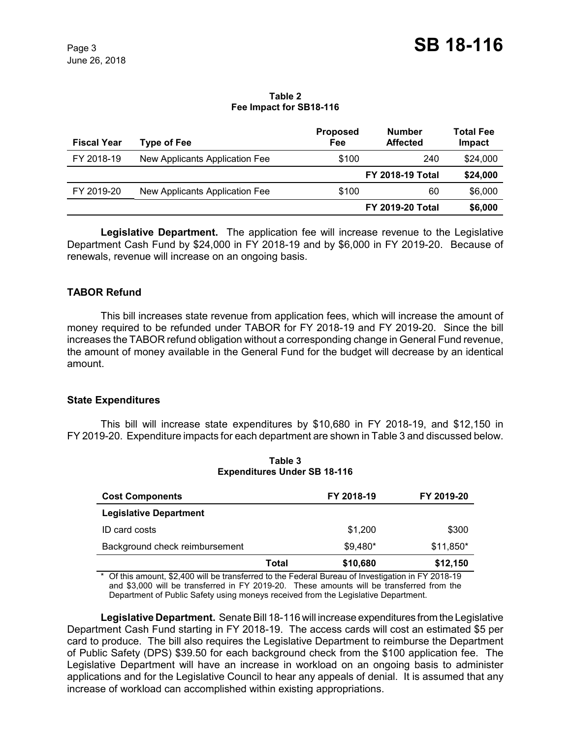#### **Table 2 Fee Impact for SB18-116**

| <b>Fiscal Year</b> | <b>Type of Fee</b>             | <b>Proposed</b><br>Fee | <b>Number</b><br><b>Affected</b> | <b>Total Fee</b><br>Impact |
|--------------------|--------------------------------|------------------------|----------------------------------|----------------------------|
| FY 2018-19         | New Applicants Application Fee | \$100                  | 240                              | \$24,000                   |
|                    |                                |                        | <b>FY 2018-19 Total</b>          | \$24,000                   |
| FY 2019-20         | New Applicants Application Fee | \$100                  | 60                               | \$6,000                    |
|                    |                                |                        | <b>FY 2019-20 Total</b>          | \$6,000                    |

**Legislative Department.** The application fee will increase revenue to the Legislative Department Cash Fund by \$24,000 in FY 2018-19 and by \$6,000 in FY 2019-20. Because of renewals, revenue will increase on an ongoing basis.

# **TABOR Refund**

This bill increases state revenue from application fees, which will increase the amount of money required to be refunded under TABOR for FY 2018-19 and FY 2019-20. Since the bill increases the TABOR refund obligation without a corresponding change in General Fund revenue, the amount of money available in the General Fund for the budget will decrease by an identical amount.

### **State Expenditures**

This bill will increase state expenditures by \$10,680 in FY 2018-19, and \$12,150 in FY 2019-20. Expenditure impacts for each department are shown in Table 3 and discussed below.

| <b>Cost Components</b>         |       | FY 2018-19 | FY 2019-20 |
|--------------------------------|-------|------------|------------|
| <b>Legislative Department</b>  |       |            |            |
| <b>ID</b> card costs           |       | \$1,200    | \$300      |
| Background check reimbursement |       | $$9,480*$  | $$11,850*$ |
|                                | Total | \$10,680   | \$12,150   |

**Table 3 Expenditures Under SB 18-116**

\* Of this amount, \$2,400 will be transferred to the Federal Bureau of Investigation in FY 2018-19 and \$3,000 will be transferred in FY 2019-20. These amounts will be transferred from the Department of Public Safety using moneys received from the Legislative Department.

**Legislative Department.** Senate Bill 18-116 will increase expenditures from the Legislative Department Cash Fund starting in FY 2018-19. The access cards will cost an estimated \$5 per card to produce. The bill also requires the Legislative Department to reimburse the Department of Public Safety (DPS) \$39.50 for each background check from the \$100 application fee. The Legislative Department will have an increase in workload on an ongoing basis to administer applications and for the Legislative Council to hear any appeals of denial. It is assumed that any increase of workload can accomplished within existing appropriations.